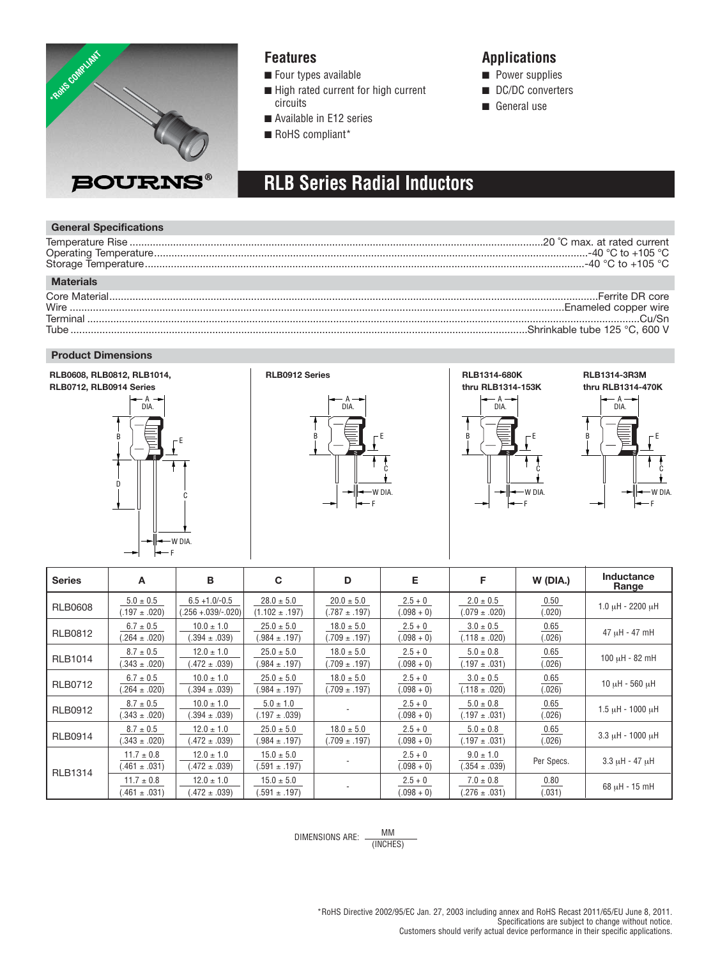

### **Features**

■ Four types available

- High rated current for high current circuits
- Available in E12 series
- RoHS compliant\*

### **Applications**

- Power supplies
- DC/DC converters
- General use

# **RLB Series Radial Inductors**

### **General Specifications**

| <b>Materials</b> |  |
|------------------|--|
|                  |  |
|                  |  |
|                  |  |
|                  |  |

#### **Product Dimensions**



| <b>Series</b>  | A                                   | в                                         | C                                    | D                                   | Е                         | F                                  | W (DIA.)       | Inductance<br>Range      |
|----------------|-------------------------------------|-------------------------------------------|--------------------------------------|-------------------------------------|---------------------------|------------------------------------|----------------|--------------------------|
| <b>RLB0608</b> | $5.0 \pm 0.5$<br>$(.197 \pm .020)$  | $6.5 + 1.0/-0.5$<br>$(.256 + .039/-.020)$ | $28.0 \pm 5.0$<br>$(1.102 \pm .197)$ | $20.0 \pm 5.0$<br>$(.787 \pm .197)$ | $2.5 + 0$<br>$(.098 + 0)$ | $2.0 \pm 0.5$<br>$(.079 \pm .020)$ | 0.50<br>(.020) | $1.0 \mu H - 2200 \mu H$ |
| <b>RLB0812</b> | $6.7 \pm 0.5$<br>$(.264 \pm .020)$  | $10.0 \pm 1.0$<br>$(.394 \pm .039)$       | $25.0 \pm 5.0$<br>$(.984 \pm .197)$  | $18.0 \pm 5.0$<br>$(.709 \pm .197)$ | $2.5 + 0$<br>$(.098 + 0)$ | $3.0 \pm 0.5$<br>$(.118 \pm .020)$ | 0.65<br>(.026) | 47 µH - 47 mH            |
| <b>RLB1014</b> | $8.7 \pm 0.5$<br>$(.343 \pm .020)$  | $12.0 \pm 1.0$<br>$(.472 \pm .039)$       | $25.0 \pm 5.0$<br>$(.984 \pm .197)$  | $18.0 \pm 5.0$<br>$(.709 \pm .197)$ | $2.5 + 0$<br>$(.098 + 0)$ | $5.0 \pm 0.8$<br>$(.197 \pm .031)$ | 0.65<br>(.026) | $100 \mu H - 82 \mu H$   |
| <b>RLB0712</b> | $6.7 \pm 0.5$<br>$(.264 \pm .020)$  | $10.0 \pm 1.0$<br>$(.394 \pm .039)$       | $25.0 \pm 5.0$<br>$(.984 \pm .197)$  | $18.0 \pm 5.0$<br>$(.709 \pm .197)$ | $2.5 + 0$<br>$(.098 + 0)$ | $3.0 \pm 0.5$<br>$(.118 \pm .020)$ | 0.65<br>(.026) | $10 \mu H - 560 \mu H$   |
| <b>RLB0912</b> | $8.7 \pm 0.5$<br>$(.343 \pm .020)$  | $10.0 \pm 1.0$<br>$(.394 \pm .039)$       | $5.0 \pm 1.0$<br>$(.197 \pm .039)$   |                                     | $2.5 + 0$<br>$(.098 + 0)$ | $5.0 \pm 0.8$<br>$(.197 \pm .031)$ | 0.65<br>(.026) | $1.5 \mu H - 1000 \mu H$ |
| <b>RLB0914</b> | $8.7 \pm 0.5$<br>$(.343 \pm .020)$  | $12.0 \pm 1.0$<br>$(.472 \pm .039)$       | $25.0 \pm 5.0$<br>$(.984 \pm .197)$  | $18.0 \pm 5.0$<br>$(.709 \pm .197)$ | $2.5 + 0$<br>$(.098 + 0)$ | $5.0 \pm 0.8$<br>$(.197 \pm .031)$ | 0.65<br>(.026) | $3.3 \mu H - 1000 \mu H$ |
| <b>RLB1314</b> | $11.7 \pm 0.8$<br>$(.461 \pm .031)$ | $12.0 \pm 1.0$<br>$(.472 \pm .039)$       | $15.0 \pm 5.0$<br>$(.591 \pm .197)$  |                                     | $2.5 + 0$<br>$(.098 + 0)$ | $9.0 \pm 1.0$<br>$(.354 \pm .039)$ | Per Specs.     | $3.3 \mu H - 47 \mu H$   |
|                | $11.7 \pm 0.8$<br>$(.461 \pm .031)$ | $12.0 \pm 1.0$<br>$(.472 \pm .039)$       | $15.0 \pm 5.0$<br>$(.591 \pm .197)$  |                                     | $2.5 + 0$<br>$(.098 + 0)$ | $7.0 \pm 0.8$<br>$(.276 \pm .031)$ | 0.80<br>(.031) | $68 \mu H - 15 \mu H$    |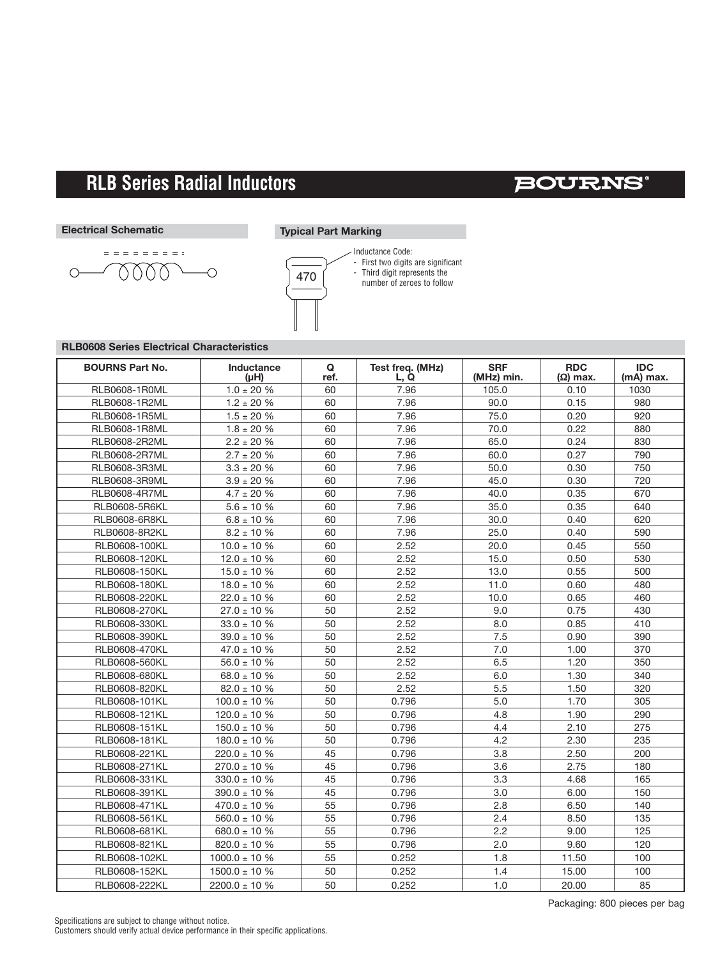$\searrow$ 

### **BOURNS®**

#### **Electrical Schematic**

 $\circlearrowright$ 

**Typical Part Marking**



Inductance Code: - First two digits are significant - Third digit represents the number of zeroes to follow

### **RLB0608 Series Electrical Characteristics**

eeeeeee:  $0000$ 

| <b>BOURNS Part No.</b> | Inductance<br>$(\mu H)$ | Q<br>ref. | Test freq. (MHz)<br>L, Q | <b>SRF</b><br>(MHz) min. | <b>RDC</b><br>$(\Omega)$ max. | <b>IDC</b><br>(mA) max. |
|------------------------|-------------------------|-----------|--------------------------|--------------------------|-------------------------------|-------------------------|
| RLB0608-1R0ML          | $1.0 \pm 20 \%$         | 60        | 7.96                     | 105.0                    | 0.10                          | 1030                    |
| RLB0608-1R2ML          | $1.2 \pm 20 \%$         | 60        | 7.96                     | 90.0                     | 0.15                          | 980                     |
| RLB0608-1R5ML          | $1.5 \pm 20$ %          | 60        | 7.96                     | 75.0                     | 0.20                          | 920                     |
| RLB0608-1R8ML          | $1.8 \pm 20 \%$         | 60        | 7.96                     | 70.0                     | 0.22                          | 880                     |
| RLB0608-2R2ML          | $2.2 \pm 20 %$          | 60        | 7.96                     | 65.0                     | 0.24                          | 830                     |
| RLB0608-2R7ML          | $2.7 \pm 20 \%$         | 60        | 7.96                     | 60.0                     | 0.27                          | 790                     |
| RLB0608-3R3ML          | $3.3\pm20$ %            | 60        | 7.96                     | 50.0                     | 0.30                          | 750                     |
| RLB0608-3R9ML          | $3.9 \pm 20$ %          | 60        | 7.96                     | 45.0                     | 0.30                          | 720                     |
| RLB0608-4R7ML          | $4.7 \pm 20 \%$         | 60        | 7.96                     | 40.0                     | 0.35                          | 670                     |
| <b>RLB0608-5R6KL</b>   | $5.6 \pm 10 \%$         | 60        | 7.96                     | 35.0                     | 0.35                          | 640                     |
| <b>RLB0608-6R8KL</b>   | $6.8 \pm 10 \%$         | 60        | 7.96                     | 30.0                     | 0.40                          | 620                     |
| RLB0608-8R2KL          | $8.2 \pm 10 \%$         | 60        | 7.96                     | 25.0                     | 0.40                          | 590                     |
| RLB0608-100KL          | $10.0 \pm 10 \%$        | 60        | 2.52                     | 20.0                     | 0.45                          | 550                     |
| RLB0608-120KL          | $12.0 \pm 10 \%$        | 60        | 2.52                     | 15.0                     | 0.50                          | 530                     |
| RLB0608-150KL          | $15.0 \pm 10$ %         | 60        | 2.52                     | 13.0                     | 0.55                          | 500                     |
| RLB0608-180KL          | $18.0 \pm 10 \%$        | 60        | 2.52                     | 11.0                     | 0.60                          | 480                     |
| RLB0608-220KL          | $22.0 \pm 10 \%$        | 60        | 2.52                     | 10.0                     | 0.65                          | 460                     |
| RLB0608-270KL          | $27.0 \pm 10 \%$        | 50        | 2.52                     | 9.0                      | 0.75                          | 430                     |
| RLB0608-330KL          | $33.0 \pm 10 \%$        | 50        | 2.52                     | 8.0                      | 0.85                          | 410                     |
| RLB0608-390KL          | $39.0 \pm 10 \%$        | 50        | 2.52                     | 7.5                      | 0.90                          | 390                     |
| RLB0608-470KL          | $47.0 \pm 10 \%$        | 50        | 2.52                     | 7.0                      | 1.00                          | 370                     |
| RLB0608-560KL          | $56.0 \pm 10 \%$        | 50        | 2.52                     | 6.5                      | 1.20                          | 350                     |
| RLB0608-680KL          | $68.0 \pm 10 \%$        | 50        | 2.52                     | 6.0                      | 1.30                          | 340                     |
| RLB0608-820KL          | $82.0 \pm 10 \%$        | 50        | 2.52                     | 5.5                      | 1.50                          | 320                     |
| RLB0608-101KL          | $100.0 \pm 10 \%$       | 50        | 0.796                    | 5.0                      | 1.70                          | 305                     |
| RLB0608-121KL          | $120.0 \pm 10 %$        | 50        | 0.796                    | 4.8                      | 1.90                          | 290                     |
| RLB0608-151KL          | $150.0 \pm 10$ %        | 50        | 0.796                    | 4.4                      | 2.10                          | 275                     |
| RLB0608-181KL          | $180.0 \pm 10$ %        | 50        | 0.796                    | 4.2                      | 2.30                          | 235                     |
| RLB0608-221KL          | $220.0 \pm 10 \%$       | 45        | 0.796                    | 3.8                      | 2.50                          | 200                     |
| RLB0608-271KL          | $270.0 \pm 10 \%$       | 45        | 0.796                    | 3.6                      | 2.75                          | 180                     |
| RLB0608-331KL          | $330.0 \pm 10 \%$       | 45        | 0.796                    | 3.3                      | 4.68                          | 165                     |
| RLB0608-391KL          | $390.0 \pm 10 \%$       | 45        | 0.796                    | 3.0                      | 6.00                          | 150                     |
| RLB0608-471KL          | $470.0 \pm 10 \%$       | 55        | 0.796                    | 2.8                      | 6.50                          | 140                     |
| RLB0608-561KL          | $560.0 \pm 10 \%$       | 55        | 0.796                    | 2.4                      | 8.50                          | 135                     |
| RLB0608-681KL          | $680.0 \pm 10$ %        | 55        | 0.796                    | 2.2                      | 9.00                          | 125                     |
| RLB0608-821KL          | $820.0 \pm 10 \%$       | 55        | 0.796                    | 2.0                      | 9.60                          | 120                     |
| RLB0608-102KL          | $1000.0 \pm 10 \%$      | 55        | 0.252                    | 1.8                      | 11.50                         | 100                     |
| RLB0608-152KL          | $1500.0 \pm 10 %$       | 50        | 0.252                    | 1.4                      | 15.00                         | 100                     |
| RLB0608-222KL          | $2200.0 \pm 10 %$       | 50        | 0.252                    | 1.0                      | 20.00                         | 85                      |

Packaging: 800 pieces per bag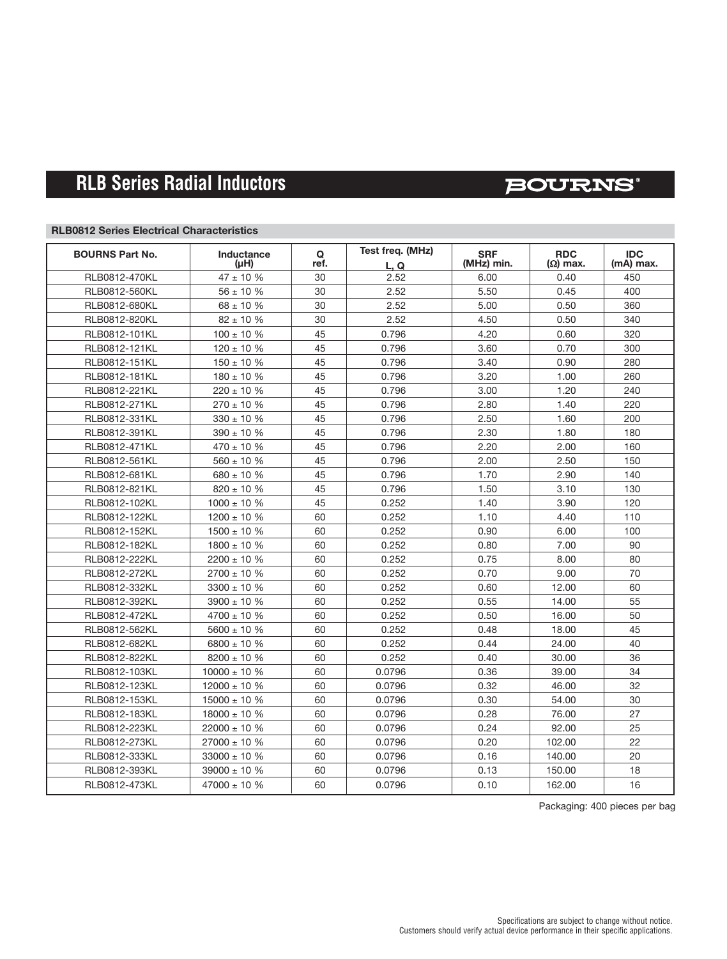## **BOURNS®**

### **RLB0812 Series Electrical Characteristics**

| <b>BOURNS Part No.</b> | Inductance        | Q    | Test freq. (MHz) | <b>SRF</b> | <b>RDC</b>      | <b>IDC</b> |
|------------------------|-------------------|------|------------------|------------|-----------------|------------|
|                        | (µH)              | ref. | L.Q              | (MHz) min. | $(\Omega)$ max. | (mA) max.  |
| RLB0812-470KL          | $47 \pm 10$ %     | 30   | 2.52             | 6.00       | 0.40            | 450        |
| RLB0812-560KL          | $56 \pm 10 \%$    | 30   | 2.52             | 5.50       | 0.45            | 400        |
| RLB0812-680KL          | $68 \pm 10 \%$    | 30   | 2.52             | 5.00       | 0.50            | 360        |
| RLB0812-820KL          | $82 \pm 10$ %     | 30   | 2.52             | 4.50       | 0.50            | 340        |
| RLB0812-101KL          | $100 \pm 10 \%$   | 45   | 0.796            | 4.20       | 0.60            | 320        |
| RLB0812-121KL          | $120 \pm 10$ %    | 45   | 0.796            | 3.60       | 0.70            | 300        |
| RLB0812-151KL          | $150 \pm 10$ %    | 45   | 0.796            | 3.40       | 0.90            | 280        |
| RLB0812-181KL          | $180 \pm 10 \%$   | 45   | 0.796            | 3.20       | 1.00            | 260        |
| RLB0812-221KL          | $220 \pm 10$ %    | 45   | 0.796            | 3.00       | 1.20            | 240        |
| RLB0812-271KL          | $270 \pm 10 \%$   | 45   | 0.796            | 2.80       | 1.40            | 220        |
| RLB0812-331KL          | $330 \pm 10$ %    | 45   | 0.796            | 2.50       | 1.60            | 200        |
| RLB0812-391KL          | $390 \pm 10$ %    | 45   | 0.796            | 2.30       | 1.80            | 180        |
| RLB0812-471KL          | $470 \pm 10 \%$   | 45   | 0.796            | 2.20       | 2.00            | 160        |
| RLB0812-561KL          | $560 \pm 10 \%$   | 45   | 0.796            | 2.00       | 2.50            | 150        |
| RLB0812-681KL          | $680 \pm 10 \%$   | 45   | 0.796            | 1.70       | 2.90            | 140        |
| RLB0812-821KL          | $820 \pm 10$ %    | 45   | 0.796            | 1.50       | 3.10            | 130        |
| RLB0812-102KL          | $1000 \pm 10 \%$  | 45   | 0.252            | 1.40       | 3.90            | 120        |
| RLB0812-122KL          | $1200 \pm 10$ %   | 60   | 0.252            | 1.10       | 4.40            | 110        |
| RLB0812-152KL          | $1500 \pm 10$ %   | 60   | 0.252            | 0.90       | 6.00            | 100        |
| RLB0812-182KL          | $1800 \pm 10 \%$  | 60   | 0.252            | 0.80       | 7.00            | 90         |
| RLB0812-222KL          | $2200 \pm 10$ %   | 60   | 0.252            | 0.75       | 8.00            | 80         |
| RLB0812-272KL          | $2700 \pm 10 \%$  | 60   | 0.252            | 0.70       | 9.00            | 70         |
| RLB0812-332KL          | $3300 \pm 10$ %   | 60   | 0.252            | 0.60       | 12.00           | 60         |
| RLB0812-392KL          | $3900 \pm 10$ %   | 60   | 0.252            | 0.55       | 14.00           | 55         |
| RLB0812-472KL          | $4700 \pm 10 \%$  | 60   | 0.252            | 0.50       | 16.00           | 50         |
| RLB0812-562KL          | $5600 \pm 10 \%$  | 60   | 0.252            | 0.48       | 18.00           | 45         |
| RLB0812-682KL          | $6800 \pm 10 %$   | 60   | 0.252            | 0.44       | 24.00           | 40         |
| RLB0812-822KL          | $8200 \pm 10$ %   | 60   | 0.252            | 0.40       | 30.00           | 36         |
| RLB0812-103KL          | $10000 \pm 10 \%$ | 60   | 0.0796           | 0.36       | 39.00           | 34         |
| RLB0812-123KL          | $12000 \pm 10 %$  | 60   | 0.0796           | 0.32       | 46.00           | 32         |
| RLB0812-153KL          | $15000 \pm 10 \%$ | 60   | 0.0796           | 0.30       | 54.00           | 30         |
| RLB0812-183KL          | $18000 \pm 10 \%$ | 60   | 0.0796           | 0.28       | 76.00           | 27         |
| RLB0812-223KL          | $22000 \pm 10 %$  | 60   | 0.0796           | 0.24       | 92.00           | 25         |
| RLB0812-273KL          | $27000 \pm 10 \%$ | 60   | 0.0796           | 0.20       | 102.00          | 22         |
| RLB0812-333KL          | $33000 \pm 10 \%$ | 60   | 0.0796           | 0.16       | 140.00          | 20         |
| RLB0812-393KL          | $39000 \pm 10 \%$ | 60   | 0.0796           | 0.13       | 150.00          | 18         |
| RLB0812-473KL          | $47000 \pm 10 \%$ | 60   | 0.0796           | 0.10       | 162.00          | 16         |

Packaging: 400 pieces per bag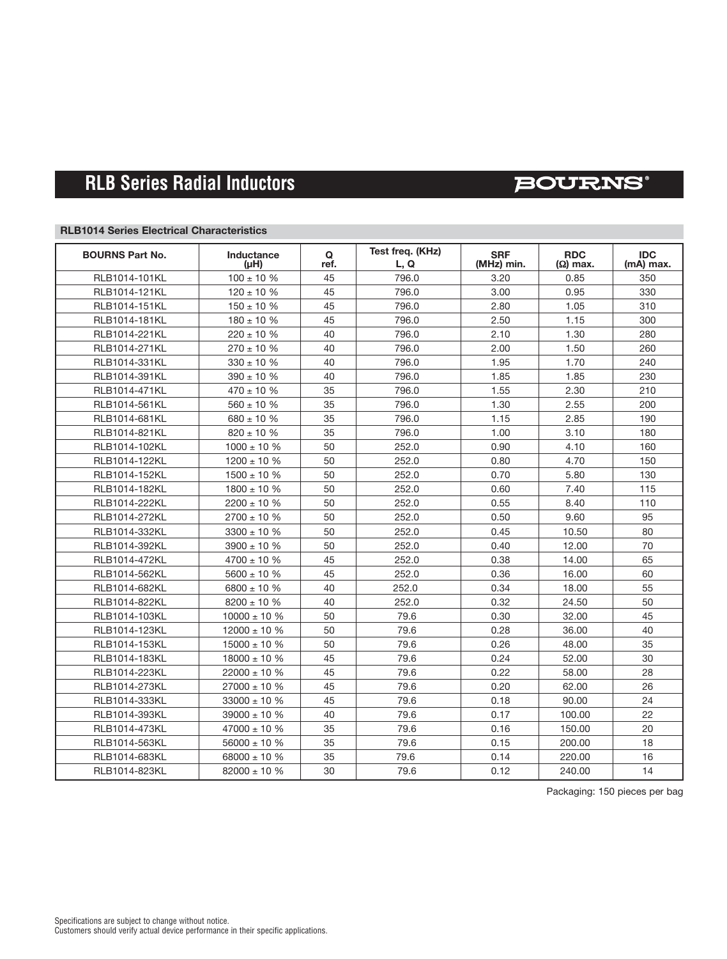### **BOURNS**®

### **RLB1014 Series Electrical Characteristics**

| <b>BOURNS Part No.</b> | Inductance<br>(µH) | Q<br>ref. | Test freq. (KHz)<br>L, Q | <b>SRF</b><br>(MHz) min. | <b>RDC</b><br>$(\Omega)$ max. | <b>IDC</b><br>(mA) max. |
|------------------------|--------------------|-----------|--------------------------|--------------------------|-------------------------------|-------------------------|
| RLB1014-101KL          | $100 \pm 10 \%$    | 45        | 796.0                    | 3.20                     | 0.85                          | 350                     |
| RLB1014-121KL          | $120 \pm 10 \%$    | 45        | 796.0                    | 3.00                     | 0.95                          | 330                     |
| RLB1014-151KL          | $150 \pm 10$ %     | 45        | 796.0                    | 2.80                     | 1.05                          | 310                     |
| RLB1014-181KL          | $180 \pm 10 \%$    | 45        | 796.0                    | 2.50                     | 1.15                          | 300                     |
| RLB1014-221KL          | $220 \pm 10 %$     | 40        | 796.0                    | 2.10                     | 1.30                          | 280                     |
| RLB1014-271KL          | $270 \pm 10 \%$    | 40        | 796.0                    | 2.00                     | 1.50                          | 260                     |
| RLB1014-331KL          | $330 \pm 10$ %     | 40        | 796.0                    | 1.95                     | 1.70                          | 240                     |
| RLB1014-391KL          | $390 \pm 10 \%$    | 40        | 796.0                    | 1.85                     | 1.85                          | 230                     |
| RLB1014-471KL          | $470 \pm 10 \%$    | 35        | 796.0                    | 1.55                     | 2.30                          | 210                     |
| RLB1014-561KL          | $560 \pm 10 \%$    | 35        | 796.0                    | 1.30                     | 2.55                          | 200                     |
| RLB1014-681KL          | $680 \pm 10 \%$    | 35        | 796.0                    | 1.15                     | 2.85                          | 190                     |
| RLB1014-821KL          | $820 \pm 10 \%$    | 35        | 796.0                    | 1.00                     | 3.10                          | 180                     |
| RLB1014-102KL          | $1000 \pm 10 \%$   | 50        | 252.0                    | 0.90                     | 4.10                          | 160                     |
| RLB1014-122KL          | $1200 \pm 10 \%$   | 50        | 252.0                    | 0.80                     | 4.70                          | 150                     |
| RLB1014-152KL          | $1500 \pm 10$ %    | 50        | 252.0                    | 0.70                     | 5.80                          | 130                     |
| RLB1014-182KL          | $1800 \pm 10 %$    | 50        | 252.0                    | 0.60                     | 7.40                          | 115                     |
| RLB1014-222KL          | $2200 \pm 10 \%$   | 50        | 252.0                    | 0.55                     | 8.40                          | 110                     |
| RLB1014-272KL          | $2700 \pm 10 \%$   | 50        | 252.0                    | 0.50                     | 9.60                          | 95                      |
| RLB1014-332KL          | $3300 \pm 10 \%$   | 50        | 252.0                    | 0.45                     | 10.50                         | 80                      |
| RLB1014-392KL          | $3900 \pm 10 \%$   | 50        | 252.0                    | 0.40                     | 12.00                         | 70                      |
| RLB1014-472KL          | $4700 \pm 10 \%$   | 45        | 252.0                    | 0.38                     | 14.00                         | 65                      |
| RLB1014-562KL          | $5600 \pm 10 \%$   | 45        | 252.0                    | 0.36                     | 16.00                         | 60                      |
| RLB1014-682KL          | $6800 \pm 10 \%$   | 40        | 252.0                    | 0.34                     | 18.00                         | 55                      |
| RLB1014-822KL          | $8200 \pm 10 \%$   | 40        | 252.0                    | 0.32                     | 24.50                         | 50                      |
| RLB1014-103KL          | $10000 \pm 10 \%$  | 50        | 79.6                     | 0.30                     | 32.00                         | 45                      |
| RLB1014-123KL          | $12000 \pm 10 \%$  | 50        | 79.6                     | 0.28                     | 36.00                         | 40                      |
| RLB1014-153KL          | $15000 \pm 10 %$   | 50        | 79.6                     | 0.26                     | 48.00                         | 35                      |
| RLB1014-183KL          | $18000 \pm 10 \%$  | 45        | 79.6                     | 0.24                     | 52.00                         | 30                      |
| RLB1014-223KL          | $22000 \pm 10 \%$  | 45        | 79.6                     | 0.22                     | 58.00                         | 28                      |
| RLB1014-273KL          | $27000 \pm 10 \%$  | 45        | 79.6                     | 0.20                     | 62.00                         | 26                      |
| RLB1014-333KL          | $33000 \pm 10 \%$  | 45        | 79.6                     | 0.18                     | 90.00                         | 24                      |
| RLB1014-393KL          | $39000 \pm 10 \%$  | 40        | 79.6                     | 0.17                     | 100.00                        | 22                      |
| RLB1014-473KL          | $47000 \pm 10 \%$  | 35        | 79.6                     | 0.16                     | 150.00                        | 20                      |
| RLB1014-563KL          | $56000 \pm 10 %$   | 35        | 79.6                     | 0.15                     | 200.00                        | 18                      |
| RLB1014-683KL          | 68000 $\pm$ 10 %   | 35        | 79.6                     | 0.14                     | 220.00                        | 16                      |
| RLB1014-823KL          | $82000 \pm 10 \%$  | 30        | 79.6                     | 0.12                     | 240.00                        | 14                      |

Packaging: 150 pieces per bag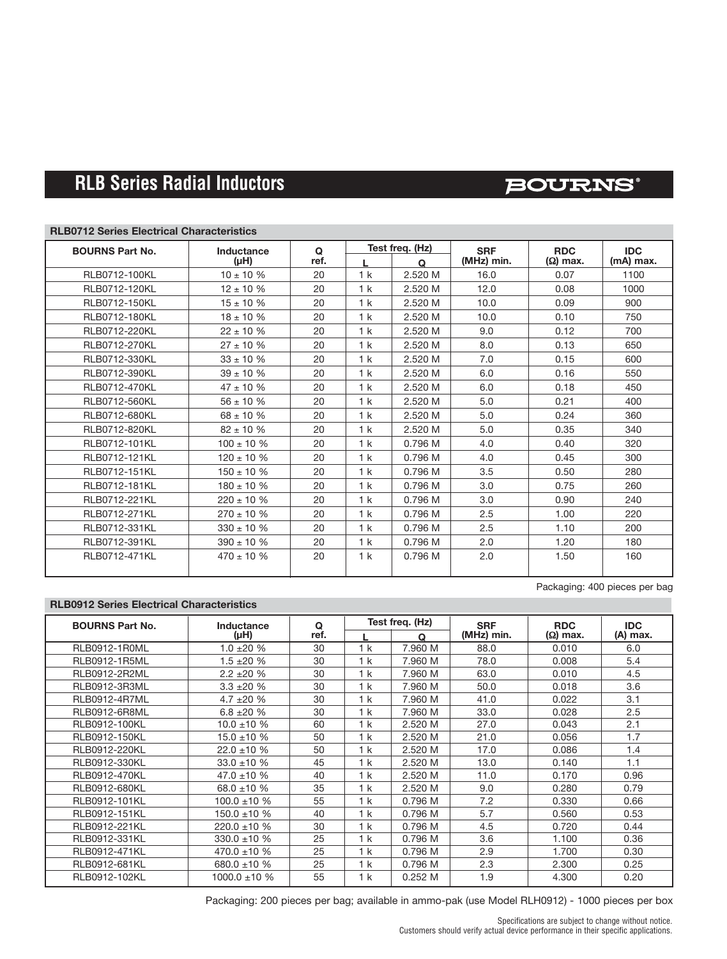## **BOURNS®**

#### **RLB0712 Series Electrical Characteristics**

| <b>BOURNS Part No.</b> | Inductance      | $\Omega$ | Test freq. (Hz) |          | <b>SRF</b> | <b>RDC</b>      | <b>IDC</b> |
|------------------------|-----------------|----------|-----------------|----------|------------|-----------------|------------|
|                        | $(\mu H)$       | ref.     |                 | $\Omega$ | (MHz) min. | $(\Omega)$ max. | (mA) max.  |
| RLB0712-100KL          | $10 \pm 10 \%$  | 20       | 1 <sub>k</sub>  | 2.520 M  | 16.0       | 0.07            | 1100       |
| RLB0712-120KL          | $12 \pm 10 \%$  | 20       | 1 k             | 2.520 M  | 12.0       | 0.08            | 1000       |
| RLB0712-150KL          | $15 \pm 10 \%$  | 20       | 1 k             | 2.520 M  | 10.0       | 0.09            | 900        |
| RLB0712-180KL          | $18 \pm 10 \%$  | 20       | 1 <sub>k</sub>  | 2.520 M  | 10.0       | 0.10            | 750        |
| RLB0712-220KL          | $22 \pm 10$ %   | 20       | 1 <sub>k</sub>  | 2.520 M  | 9.0        | 0.12            | 700        |
| RLB0712-270KL          | $27 \pm 10 \%$  | 20       | 1 <sub>k</sub>  | 2.520 M  | 8.0        | 0.13            | 650        |
| RLB0712-330KL          | $33 \pm 10$ %   | 20       | 1 <sub>k</sub>  | 2.520 M  | 7.0        | 0.15            | 600        |
| RLB0712-390KL          | $39 \pm 10 \%$  | 20       | 1 <sub>k</sub>  | 2.520 M  | 6.0        | 0.16            | 550        |
| RLB0712-470KL          | $47 \pm 10 \%$  | 20       | 1 <sub>k</sub>  | 2.520 M  | 6.0        | 0.18            | 450        |
| RLB0712-560KL          | $56 \pm 10 \%$  | 20       | 1 <sub>k</sub>  | 2.520 M  | 5.0        | 0.21            | 400        |
| RLB0712-680KL          | $68 \pm 10 \%$  | 20       | 1 <sub>k</sub>  | 2.520 M  | 5.0        | 0.24            | 360        |
| RLB0712-820KL          | $82 \pm 10 \%$  | 20       | 1 k             | 2.520 M  | 5.0        | 0.35            | 340        |
| RLB0712-101KL          | $100 \pm 10 \%$ | 20       | 1 <sub>k</sub>  | 0.796 M  | 4.0        | 0.40            | 320        |
| RLB0712-121KL          | $120 \pm 10 \%$ | 20       | 1 <sub>k</sub>  | 0.796 M  | 4.0        | 0.45            | 300        |
| <b>RLB0712-151KL</b>   | $150 \pm 10$ %  | 20       | 1 <sub>k</sub>  | 0.796 M  | 3.5        | 0.50            | 280        |
| RLB0712-181KL          | $180 \pm 10 \%$ | 20       | 1 <sub>k</sub>  | 0.796 M  | 3.0        | 0.75            | 260        |
| RLB0712-221KL          | $220 \pm 10 \%$ | 20       | 1 <sub>k</sub>  | 0.796 M  | 3.0        | 0.90            | 240        |
| RLB0712-271KL          | $270 \pm 10 \%$ | 20       | 1 <sub>k</sub>  | 0.796 M  | 2.5        | 1.00            | 220        |
| RLB0712-331KL          | $330 \pm 10$ %  | 20       | 1 <sub>k</sub>  | 0.796 M  | 2.5        | 1.10            | 200        |
| RLB0712-391KL          | $390 \pm 10$ %  | 20       | 1 <sub>k</sub>  | 0.796 M  | 2.0        | 1.20            | 180        |
| <b>RLB0712-471KL</b>   | $470 \pm 10 \%$ | 20       | 1 k             | 0.796 M  | 2.0        | 1.50            | 160        |
|                        |                 |          |                 |          |            |                 |            |

Packaging: 400 pieces per bag

### **RLB0912 Series Electrical Characteristics**

| <b>BOURNS Part No.</b> | Inductance        | Q    | Test freq. (Hz) |         | <b>SRF</b> | <b>RDC</b>      | <b>IDC</b> |
|------------------------|-------------------|------|-----------------|---------|------------|-----------------|------------|
|                        | (µH)              | ref. |                 | Q       | (MHz) min. | $(\Omega)$ max. | (A) max.   |
| RLB0912-1R0ML          | $1.0 \pm 20 \%$   | 30   | 1 k             | 7.960 M | 88.0       | 0.010           | 6.0        |
| RLB0912-1R5ML          | $1.5 \pm 20 \%$   | 30   | 1 k             | 7.960 M | 78.0       | 0.008           | 5.4        |
| RLB0912-2R2ML          | $2.2 \pm 20 \%$   | 30   | 1 k             | 7.960 M | 63.0       | 0.010           | 4.5        |
| RLB0912-3R3ML          | $3.3 \pm 20 \%$   | 30   | 1 k             | 7.960 M | 50.0       | 0.018           | 3.6        |
| RLB0912-4R7ML          | $4.7 \pm 20 \%$   | 30   | 1 k             | 7.960 M | 41.0       | 0.022           | 3.1        |
| <b>RLB0912-6R8ML</b>   | $6.8 \pm 20 \%$   | 30   | 1 k             | 7.960 M | 33.0       | 0.028           | 2.5        |
| RLB0912-100KL          | $10.0 \pm 10 \%$  | 60   | 1 k             | 2.520 M | 27.0       | 0.043           | 2.1        |
| RLB0912-150KL          | $15.0 \pm 10 \%$  | 50   | 1 k             | 2.520 M | 21.0       | 0.056           | 1.7        |
| RLB0912-220KL          | $22.0 \pm 10 \%$  | 50   | 1 k             | 2.520 M | 17.0       | 0.086           | 1.4        |
| RLB0912-330KL          | $33.0 \pm 10 \%$  | 45   | 1 k             | 2.520 M | 13.0       | 0.140           | 1.1        |
| RLB0912-470KL          | $47.0 \pm 10 \%$  | 40   | 1 k             | 2.520 M | 11.0       | 0.170           | 0.96       |
| RLB0912-680KL          | 68.0 ±10 %        | 35   | 1 k             | 2.520 M | 9.0        | 0.280           | 0.79       |
| RLB0912-101KL          | $100.0 \pm 10 \%$ | 55   | 1 k             | 0.796 M | 7.2        | 0.330           | 0.66       |
| RLB0912-151KL          | $150.0 \pm 10 \%$ | 40   | 1 k             | 0.796 M | 5.7        | 0.560           | 0.53       |
| RLB0912-221KL          | $220.0 \pm 10 \%$ | 30   | 1 k             | 0.796 M | 4.5        | 0.720           | 0.44       |
| RLB0912-331KL          | 330.0 $\pm$ 10 %  | 25   | 1 k             | 0.796 M | 3.6        | 1.100           | 0.36       |
| RLB0912-471KL          | 470.0 ±10 %       | 25   | 1 k             | 0.796 M | 2.9        | 1.700           | 0.30       |
| RLB0912-681KL          | 680.0 ±10 %       | 25   | 1 k             | 0.796 M | 2.3        | 2.300           | 0.25       |
| RLB0912-102KL          | 1000.0 $\pm$ 10 % | 55   | 1 k             | 0.252M  | 1.9        | 4.300           | 0.20       |

Packaging: 200 pieces per bag; available in ammo-pak (use Model RLH0912) - 1000 pieces per box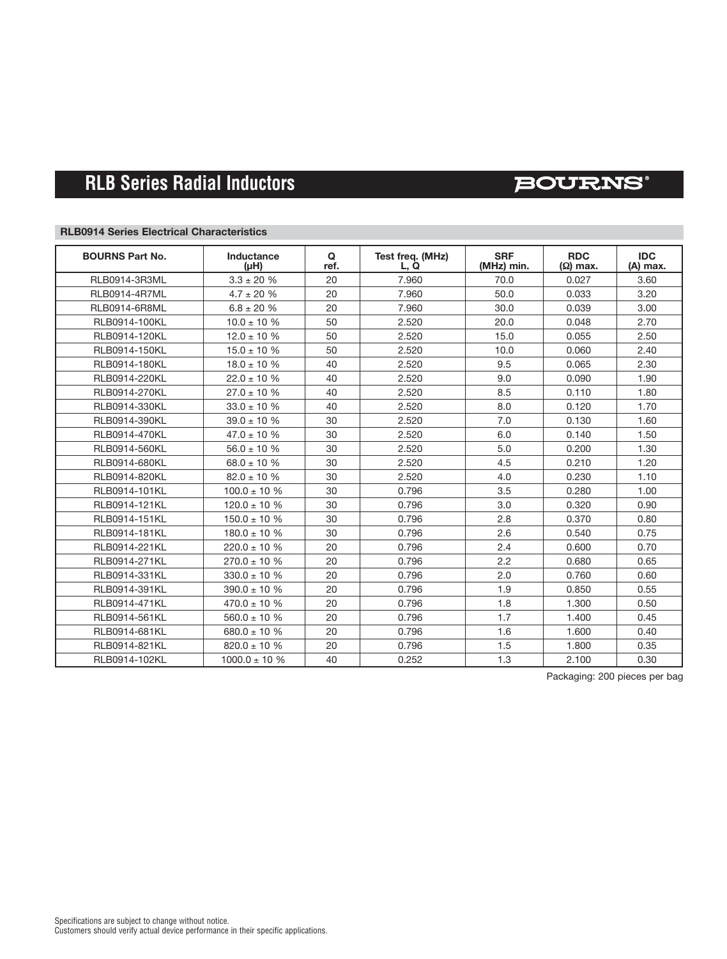## **BOURNS**®

### **RLB0914 Series Electrical Characteristics**

| <b>BOURNS Part No.</b> | Inductance<br>$(\mu H)$ | Q<br>ref. | Test freq. (MHz)<br>L, Q | <b>SRF</b><br>(MHz) min. | <b>RDC</b><br>$(\Omega)$ max. | <b>IDC</b><br>(A) max. |
|------------------------|-------------------------|-----------|--------------------------|--------------------------|-------------------------------|------------------------|
| RLB0914-3R3ML          | $3.3 \pm 20$ %          | 20        | 7.960                    | 70.0                     | 0.027                         | 3.60                   |
| <b>RLB0914-4R7ML</b>   | $4.7 \pm 20 \%$         | 20        | 7.960                    | 50.0                     | 0.033                         | 3.20                   |
| RLB0914-6R8ML          | $6.8 \pm 20 \%$         | 20        | 7.960                    | 30.0                     | 0.039                         | 3.00                   |
| RLB0914-100KL          | $10.0 \pm 10 \%$        | 50        | 2.520                    | 20.0                     | 0.048                         | 2.70                   |
| RLB0914-120KL          | $12.0 \pm 10 \%$        | 50        | 2.520                    | 15.0                     | 0.055                         | 2.50                   |
| RLB0914-150KL          | $15.0 \pm 10 \%$        | 50        | 2.520                    | 10.0                     | 0.060                         | 2.40                   |
| RLB0914-180KL          | $18.0 \pm 10 \%$        | 40        | 2.520                    | 9.5                      | 0.065                         | 2.30                   |
| RLB0914-220KL          | $22.0 \pm 10 \%$        | 40        | 2.520                    | 9.0                      | 0.090                         | 1.90                   |
| RLB0914-270KL          | $27.0 \pm 10 \%$        | 40        | 2.520                    | 8.5                      | 0.110                         | 1.80                   |
| RLB0914-330KL          | $33.0 \pm 10$ %         | 40        | 2.520                    | 8.0                      | 0.120                         | 1.70                   |
| RLB0914-390KL          | $39.0 \pm 10 \%$        | 30        | 2.520                    | 7.0                      | 0.130                         | 1.60                   |
| RLB0914-470KL          | $47.0 \pm 10 \%$        | 30        | 2.520                    | 6.0                      | 0.140                         | 1.50                   |
| RLB0914-560KL          | $56.0 \pm 10 \%$        | 30        | 2.520                    | 5.0                      | 0.200                         | 1.30                   |
| RLB0914-680KL          | $68.0 \pm 10 \%$        | 30        | 2.520                    | 4.5                      | 0.210                         | 1.20                   |
| RLB0914-820KL          | $82.0 \pm 10 \%$        | 30        | 2.520                    | 4.0                      | 0.230                         | 1.10                   |
| RLB0914-101KL          | $100.0 \pm 10 %$        | 30        | 0.796                    | 3.5                      | 0.280                         | 1.00                   |
| RLB0914-121KL          | $120.0 \pm 10 \%$       | 30        | 0.796                    | 3.0                      | 0.320                         | 0.90                   |
| RLB0914-151KL          | $150.0 \pm 10$ %        | 30        | 0.796                    | 2.8                      | 0.370                         | 0.80                   |
| RLB0914-181KL          | $180.0 \pm 10 \%$       | 30        | 0.796                    | 2.6                      | 0.540                         | 0.75                   |
| RLB0914-221KL          | $220.0 \pm 10 \%$       | 20        | 0.796                    | 2.4                      | 0.600                         | 0.70                   |
| RLB0914-271KL          | $270.0 \pm 10 \%$       | 20        | 0.796                    | 2.2                      | 0.680                         | 0.65                   |
| RLB0914-331KL          | $330.0 \pm 10 \%$       | 20        | 0.796                    | 2.0                      | 0.760                         | 0.60                   |
| RLB0914-391KL          | $390.0 \pm 10$ %        | 20        | 0.796                    | 1.9                      | 0.850                         | 0.55                   |
| RLB0914-471KL          | $470.0 \pm 10 \%$       | 20        | 0.796                    | 1.8                      | 1.300                         | 0.50                   |
| RLB0914-561KL          | $560.0 \pm 10 \%$       | 20        | 0.796                    | 1.7                      | 1.400                         | 0.45                   |
| RLB0914-681KL          | 680.0 $\pm$ 10 %        | 20        | 0.796                    | 1.6                      | 1.600                         | 0.40                   |
| RLB0914-821KL          | $820.0 \pm 10 \%$       | 20        | 0.796                    | 1.5                      | 1.800                         | 0.35                   |
| RLB0914-102KL          | $1000.0 \pm 10 %$       | 40        | 0.252                    | 1.3                      | 2.100                         | 0.30                   |

Packaging: 200 pieces per bag